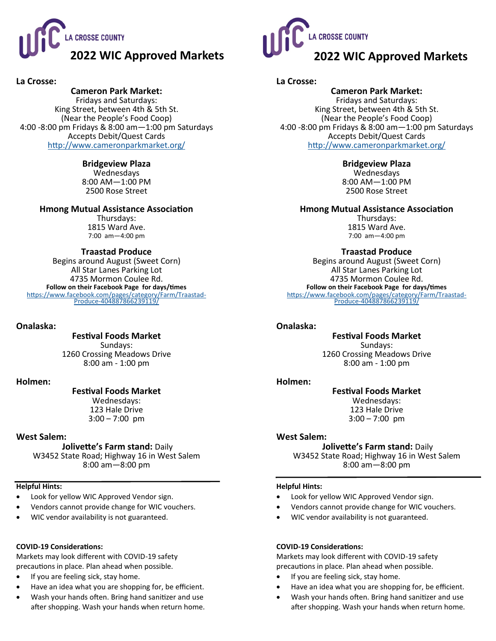

## **La Crosse:**

# **Cameron Park Market:**

Fridays and Saturdays: King Street, between 4th & 5th St. (Near the People's Food Coop) 4:00 -8:00 pm Fridays & 8:00 am—1:00 pm Saturdays Accepts Debit/Quest Cards <http://www.cameronparkmarket.org/>

## **Bridgeview Plaza**

Wednesdays 8:00 AM—1:00 PM 2500 Rose Street

## **Hmong Mutual Assistance Association**

Thursdays: 1815 Ward Ave. 7:00 am—4:00 pm

## **Traastad Produce**

Begins around August (Sweet Corn) All Star Lanes Parking Lot 4735 Mormon Coulee Rd. **Follow on their Facebook Page for days/times** [https://www.facebook.com/pages/category/Farm/Traastad](https://www.facebook.com/pages/category/Farm/Traastad-Produce-404887866239119/)-Produce-[404887866239119/](https://www.facebook.com/pages/category/Farm/Traastad-Produce-404887866239119/)

## **Onalaska:**

**Festival Foods Market**

Sundays: 1260 Crossing Meadows Drive 8:00 am - 1:00 pm

#### **Holmen:**

## **Festival Foods Market**

Wednesdays: 123 Hale Drive  $3:00 - 7:00$  pm

## **West Salem:**

**Jolivette's Farm stand:** Daily W3452 State Road; Highway 16 in West Salem

8:00 am—8:00 pm

#### **Helpful Hints:**

- Look for yellow WIC Approved Vendor sign.
- Vendors cannot provide change for WIC vouchers.
- WIC vendor availability is not guaranteed.

#### **COVID-19 Considerations:**

Markets may look different with COVID-19 safety precautions in place. Plan ahead when possible.

- If you are feeling sick, stay home.
- Have an idea what you are shopping for, be efficient.
- Wash your hands often. Bring hand sanitizer and use
- after shopping. Wash your hands when return home.



## **La Crosse:**

**Cameron Park Market:**  Fridays and Saturdays: King Street, between 4th & 5th St. (Near the People's Food Coop) 4:00 -8:00 pm Fridays & 8:00 am—1:00 pm Saturdays Accepts Debit/Quest Cards <http://www.cameronparkmarket.org/>

## **Bridgeview Plaza**

Wednesdays 8:00 AM—1:00 PM 2500 Rose Street

**Hmong Mutual Assistance Association**

Thursdays: 1815 Ward Ave. 7:00 am—4:00 pm

## **Traastad Produce**

Begins around August (Sweet Corn) All Star Lanes Parking Lot 4735 Mormon Coulee Rd. **Follow on their Facebook Page for days/times** [https://www.facebook.com/pages/category/Farm/Traastad](https://www.facebook.com/pages/category/Farm/Traastad-Produce-404887866239119/)-Produce-[404887866239119/](https://www.facebook.com/pages/category/Farm/Traastad-Produce-404887866239119/)

## **Onalaska:**

## **Festival Foods Market**

Sundays: 1260 Crossing Meadows Drive 8:00 am - 1:00 pm

#### **Holmen:**

## **Festival Foods Market**

Wednesdays: 123 Hale Drive  $3:00 - 7:00$  pm

## **West Salem:**

**Jolivette's Farm stand:** Daily W3452 State Road; Highway 16 in West Salem 8:00 am—8:00 pm

#### **Helpful Hints:**

- Look for yellow WIC Approved Vendor sign.
- Vendors cannot provide change for WIC vouchers.
- WIC vendor availability is not guaranteed.

## **COVID-19 Considerations:**

Markets may look different with COVID-19 safety precautions in place. Plan ahead when possible.

- If you are feeling sick, stay home.
- Have an idea what you are shopping for, be efficient.
- Wash your hands often. Bring hand sanitizer and use after shopping. Wash your hands when return home.